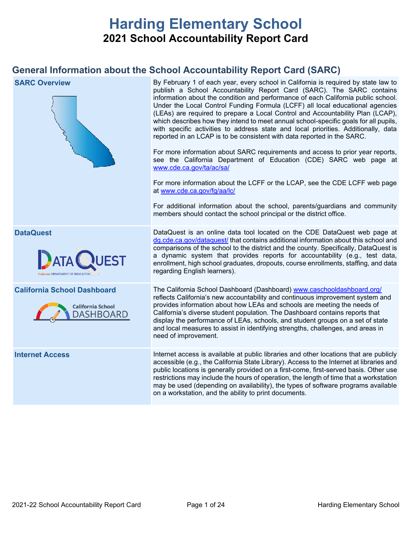# **Harding Elementary School 2021 School Accountability Report Card**

## **General Information about the School Accountability Report Card (SARC)**

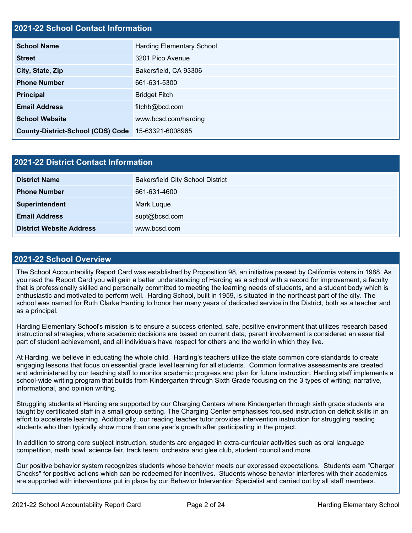## **2021-22 School Contact Information**

| <b>School Name</b>                       | <b>Harding Elementary School</b> |  |  |  |
|------------------------------------------|----------------------------------|--|--|--|
| <b>Street</b>                            | 3201 Pico Avenue                 |  |  |  |
| City, State, Zip                         | Bakersfield, CA 93306            |  |  |  |
| <b>Phone Number</b>                      | 661-631-5300                     |  |  |  |
| <b>Principal</b>                         | <b>Bridget Fitch</b>             |  |  |  |
| <b>Email Address</b>                     | fitchb@bcd.com                   |  |  |  |
| <b>School Website</b>                    | www.bcsd.com/harding             |  |  |  |
| <b>County-District-School (CDS) Code</b> | 15-63321-6008965                 |  |  |  |

| <b>2021-22 District Contact Information</b>     |                                         |  |  |  |
|-------------------------------------------------|-----------------------------------------|--|--|--|
| <b>District Name</b>                            | <b>Bakersfield City School District</b> |  |  |  |
| <b>Phone Number</b>                             | 661-631-4600                            |  |  |  |
| Superintendent                                  | Mark Luque                              |  |  |  |
| <b>Email Address</b>                            | supt@bcsd.com                           |  |  |  |
| <b>District Website Address</b><br>www.bcsd.com |                                         |  |  |  |

### **2021-22 School Overview**

The School Accountability Report Card was established by Proposition 98, an initiative passed by California voters in 1988. As you read the Report Card you will gain a better understanding of Harding as a school with a record for improvement, a faculty that is professionally skilled and personally committed to meeting the learning needs of students, and a student body which is enthusiastic and motivated to perform well. Harding School, built in 1959, is situated in the northeast part of the city. The school was named for Ruth Clarke Harding to honor her many years of dedicated service in the District, both as a teacher and as a principal.

Harding Elementary School's mission is to ensure a success oriented, safe, positive environment that utilizes research based instructional strategies; where academic decisions are based on current data, parent involvement is considered an essential part of student achievement, and all individuals have respect for others and the world in which they live.

At Harding, we believe in educating the whole child. Harding's teachers utilize the state common core standards to create engaging lessons that focus on essential grade level learning for all students. Common formative assessments are created and administered by our teaching staff to monitor academic progress and plan for future instruction. Harding staff implements a school-wide writing program that builds from Kindergarten through Sixth Grade focusing on the 3 types of writing; narrative, informational, and opinion writing.

Struggling students at Harding are supported by our Charging Centers where Kindergarten through sixth grade students are taught by certificated staff in a small group setting. The Charging Center emphasises focused instruction on deficit skills in an effort to accelerate learning. Additionally, our reading teacher tutor provides intervention instruction for struggling reading students who then typically show more than one year's growth after participating in the project.

In addition to strong core subject instruction, students are engaged in extra-curricular activities such as oral language competition, math bowl, science fair, track team, orchestra and glee club, student council and more.

Our positive behavior system recognizes students whose behavior meets our expressed expectations. Students earn "Charger Checks" for positive actions which can be redeemed for incentives. Students whose behavior interferes with their academics are supported with interventions put in place by our Behavior Intervention Specialist and carried out by all staff members.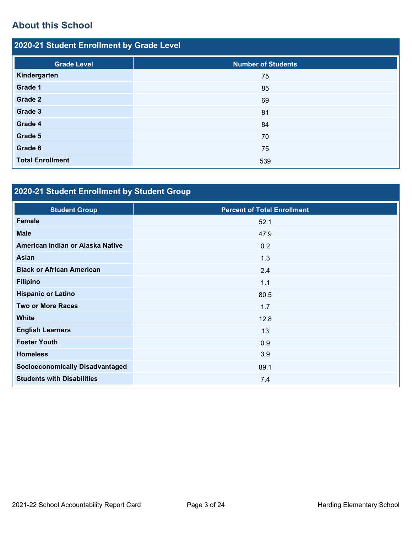## **About this School**

| 2020-21 Student Enrollment by Grade Level |                           |  |  |  |
|-------------------------------------------|---------------------------|--|--|--|
| <b>Grade Level</b>                        | <b>Number of Students</b> |  |  |  |
| Kindergarten                              | 75                        |  |  |  |
| Grade 1                                   | 85                        |  |  |  |
| Grade 2                                   | 69                        |  |  |  |
| Grade 3                                   | 81                        |  |  |  |
| Grade 4                                   | 84                        |  |  |  |
| Grade 5                                   | 70                        |  |  |  |
| Grade 6                                   | 75                        |  |  |  |
| <b>Total Enrollment</b>                   | 539                       |  |  |  |

## **2020-21 Student Enrollment by Student Group**

| <b>Student Group</b>                   | <b>Percent of Total Enrollment</b> |
|----------------------------------------|------------------------------------|
| <b>Female</b>                          | 52.1                               |
| <b>Male</b>                            | 47.9                               |
| American Indian or Alaska Native       | 0.2                                |
| <b>Asian</b>                           | 1.3                                |
| <b>Black or African American</b>       | 2.4                                |
| <b>Filipino</b>                        | 1.1                                |
| <b>Hispanic or Latino</b>              | 80.5                               |
| <b>Two or More Races</b>               | 1.7                                |
| <b>White</b>                           | 12.8                               |
| <b>English Learners</b>                | 13                                 |
| <b>Foster Youth</b>                    | 0.9                                |
| <b>Homeless</b>                        | 3.9                                |
| <b>Socioeconomically Disadvantaged</b> | 89.1                               |
| <b>Students with Disabilities</b>      | 7.4                                |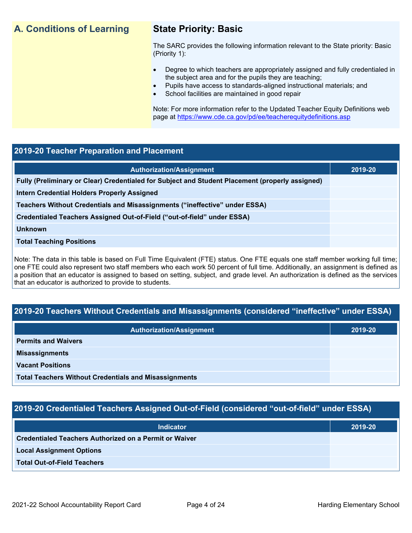## **A. Conditions of Learning State Priority: Basic**

The SARC provides the following information relevant to the State priority: Basic (Priority 1):

- Degree to which teachers are appropriately assigned and fully credentialed in the subject area and for the pupils they are teaching;
	- Pupils have access to standards-aligned instructional materials; and
- School facilities are maintained in good repair

Note: For more information refer to the Updated Teacher Equity Definitions web page at<https://www.cde.ca.gov/pd/ee/teacherequitydefinitions.asp>

### **2019-20 Teacher Preparation and Placement**

| <b>Authorization/Assignment</b>                                                                 | 2019-20 |
|-------------------------------------------------------------------------------------------------|---------|
| Fully (Preliminary or Clear) Credentialed for Subject and Student Placement (properly assigned) |         |
| <b>Intern Credential Holders Properly Assigned</b>                                              |         |
| Teachers Without Credentials and Misassignments ("ineffective" under ESSA)                      |         |
| Credentialed Teachers Assigned Out-of-Field ("out-of-field" under ESSA)                         |         |
| <b>Unknown</b>                                                                                  |         |
| <b>Total Teaching Positions</b>                                                                 |         |
|                                                                                                 |         |

Note: The data in this table is based on Full Time Equivalent (FTE) status. One FTE equals one staff member working full time; one FTE could also represent two staff members who each work 50 percent of full time. Additionally, an assignment is defined as a position that an educator is assigned to based on setting, subject, and grade level. An authorization is defined as the services that an educator is authorized to provide to students.

## **2019-20 Teachers Without Credentials and Misassignments (considered "ineffective" under ESSA)**

| <b>Authorization/Assignment</b>                              | 2019-20 |  |
|--------------------------------------------------------------|---------|--|
| <b>Permits and Waivers</b>                                   |         |  |
| <b>Misassignments</b>                                        |         |  |
| <b>Vacant Positions</b>                                      |         |  |
| <b>Total Teachers Without Credentials and Misassignments</b> |         |  |

## **2019-20 Credentialed Teachers Assigned Out-of-Field (considered "out-of-field" under ESSA)**

| <b>Indicator</b>                                              | 2019-20 |
|---------------------------------------------------------------|---------|
| <b>Credentialed Teachers Authorized on a Permit or Waiver</b> |         |
| <b>Local Assignment Options</b>                               |         |
| <b>Total Out-of-Field Teachers</b>                            |         |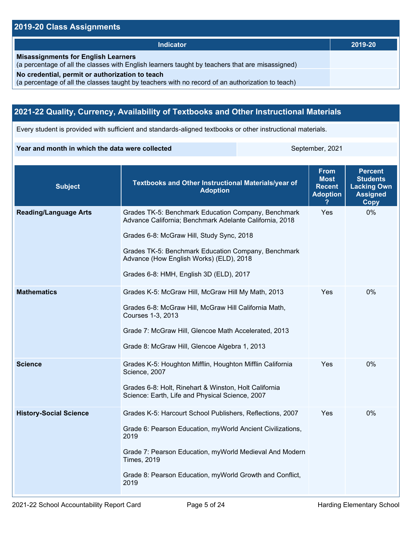## **2019-20 Class Assignments**

| <b>Indicator</b>                                                                                                                                    | 2019-20 |
|-----------------------------------------------------------------------------------------------------------------------------------------------------|---------|
|                                                                                                                                                     |         |
| <b>Misassignments for English Learners</b><br>(a percentage of all the classes with English learners taught by teachers that are misassigned)       |         |
| No credential, permit or authorization to teach<br>(a percentage of all the classes taught by teachers with no record of an authorization to teach) |         |

## **2021-22 Quality, Currency, Availability of Textbooks and Other Instructional Materials**

Every student is provided with sufficient and standards-aligned textbooks or other instructional materials.

#### **Year and month in which the data were collected** September, 2021

| <b>Subject</b>                | Textbooks and Other Instructional Materials/year of<br><b>Adoption</b>                                                                                                                                                                                                                                   | <b>From</b><br><b>Most</b><br><b>Recent</b><br><b>Adoption</b> | <b>Percent</b><br><b>Students</b><br><b>Lacking Own</b><br><b>Assigned</b><br><b>Copy</b> |
|-------------------------------|----------------------------------------------------------------------------------------------------------------------------------------------------------------------------------------------------------------------------------------------------------------------------------------------------------|----------------------------------------------------------------|-------------------------------------------------------------------------------------------|
| <b>Reading/Language Arts</b>  | Grades TK-5: Benchmark Education Company, Benchmark<br>Advance California; Benchmark Adelante California, 2018<br>Grades 6-8: McGraw Hill, Study Sync, 2018<br>Grades TK-5: Benchmark Education Company, Benchmark<br>Advance (How English Works) (ELD), 2018<br>Grades 6-8: HMH, English 3D (ELD), 2017 | Yes                                                            | 0%                                                                                        |
| <b>Mathematics</b>            | Grades K-5: McGraw Hill, McGraw Hill My Math, 2013<br>Grades 6-8: McGraw Hill, McGraw Hill California Math,<br>Courses 1-3, 2013<br>Grade 7: McGraw Hill, Glencoe Math Accelerated, 2013<br>Grade 8: McGraw Hill, Glencoe Algebra 1, 2013                                                                | Yes                                                            | 0%                                                                                        |
| <b>Science</b>                | Grades K-5: Houghton Mifflin, Houghton Mifflin California<br>Science, 2007<br>Grades 6-8: Holt, Rinehart & Winston, Holt California<br>Science: Earth, Life and Physical Science, 2007                                                                                                                   | Yes                                                            | $0\%$                                                                                     |
| <b>History-Social Science</b> | Grades K-5: Harcourt School Publishers, Reflections, 2007<br>Grade 6: Pearson Education, myWorld Ancient Civilizations,<br>2019<br>Grade 7: Pearson Education, myWorld Medieval And Modern<br><b>Times, 2019</b><br>Grade 8: Pearson Education, myWorld Growth and Conflict,<br>2019                     | Yes                                                            | 0%                                                                                        |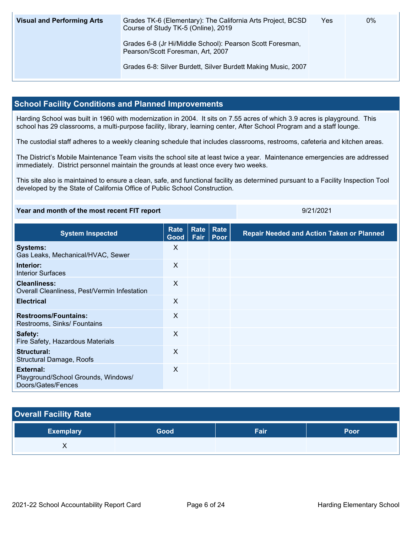| <b>Visual and Performing Arts</b> | Grades TK-6 (Elementary): The California Arts Project, BCSD<br>Course of Study TK-5 (Online), 2019 | Yes | 0% |
|-----------------------------------|----------------------------------------------------------------------------------------------------|-----|----|
|                                   | Grades 6-8 (Jr Hi/Middle School): Pearson Scott Foresman,<br>Pearson/Scott Foresman, Art, 2007     |     |    |
|                                   | Grades 6-8: Silver Burdett, Silver Burdett Making Music, 2007                                      |     |    |

### **School Facility Conditions and Planned Improvements**

Harding School was built in 1960 with modernization in 2004. It sits on 7.55 acres of which 3.9 acres is playground. This school has 29 classrooms, a multi-purpose facility, library, learning center, After School Program and a staff lounge.

The custodial staff adheres to a weekly cleaning schedule that includes classrooms, restrooms, cafeteria and kitchen areas.

The District's Mobile Maintenance Team visits the school site at least twice a year. Maintenance emergencies are addressed immediately. District personnel maintain the grounds at least once every two weeks.

This site also is maintained to ensure a clean, safe, and functional facility as determined pursuant to a Facility Inspection Tool developed by the State of California Office of Public School Construction.

| Year and month of the most recent FIT report | 9/21/2021 |
|----------------------------------------------|-----------|
|                                              |           |

| <b>System Inspected</b>                                                | <b>Rate</b><br>Good | Rate<br>Fair | <b>Rate</b><br>Poor | <b>Repair Needed and Action Taken or Planned</b> |
|------------------------------------------------------------------------|---------------------|--------------|---------------------|--------------------------------------------------|
| <b>Systems:</b><br>Gas Leaks, Mechanical/HVAC, Sewer                   | X                   |              |                     |                                                  |
| Interior:<br><b>Interior Surfaces</b>                                  | X                   |              |                     |                                                  |
| <b>Cleanliness:</b><br>Overall Cleanliness, Pest/Vermin Infestation    | X                   |              |                     |                                                  |
| <b>Electrical</b>                                                      | $\times$            |              |                     |                                                  |
| <b>Restrooms/Fountains:</b><br>Restrooms, Sinks/ Fountains             | X                   |              |                     |                                                  |
| Safety:<br>Fire Safety, Hazardous Materials                            | X                   |              |                     |                                                  |
| Structural:<br>Structural Damage, Roofs                                | X                   |              |                     |                                                  |
| External:<br>Playground/School Grounds, Windows/<br>Doors/Gates/Fences | X                   |              |                     |                                                  |

## **Overall Facility Rate**

| <b>Exemplary</b> | Good | Fair | <b>Poor</b> |
|------------------|------|------|-------------|
|                  |      |      |             |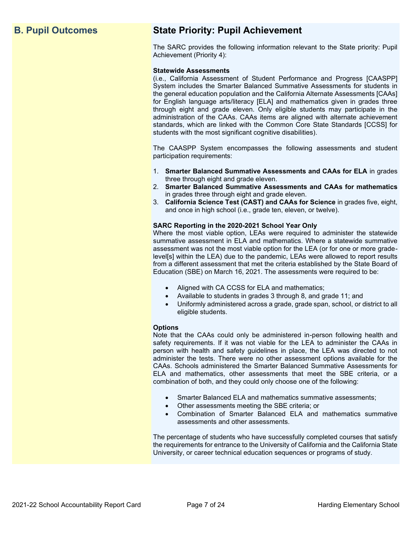## **B. Pupil Outcomes State Priority: Pupil Achievement**

The SARC provides the following information relevant to the State priority: Pupil Achievement (Priority 4):

#### **Statewide Assessments**

(i.e., California Assessment of Student Performance and Progress [CAASPP] System includes the Smarter Balanced Summative Assessments for students in the general education population and the California Alternate Assessments [CAAs] for English language arts/literacy [ELA] and mathematics given in grades three through eight and grade eleven. Only eligible students may participate in the administration of the CAAs. CAAs items are aligned with alternate achievement standards, which are linked with the Common Core State Standards [CCSS] for students with the most significant cognitive disabilities).

The CAASPP System encompasses the following assessments and student participation requirements:

- 1. **Smarter Balanced Summative Assessments and CAAs for ELA** in grades three through eight and grade eleven.
- 2. **Smarter Balanced Summative Assessments and CAAs for mathematics** in grades three through eight and grade eleven.
- 3. **California Science Test (CAST) and CAAs for Science** in grades five, eight, and once in high school (i.e., grade ten, eleven, or twelve).

#### **SARC Reporting in the 2020-2021 School Year Only**

Where the most viable option, LEAs were required to administer the statewide summative assessment in ELA and mathematics. Where a statewide summative assessment was not the most viable option for the LEA (or for one or more gradelevel[s] within the LEA) due to the pandemic, LEAs were allowed to report results from a different assessment that met the criteria established by the State Board of Education (SBE) on March 16, 2021. The assessments were required to be:

- Aligned with CA CCSS for ELA and mathematics;
- Available to students in grades 3 through 8, and grade 11; and
- Uniformly administered across a grade, grade span, school, or district to all eligible students.

#### **Options**

Note that the CAAs could only be administered in-person following health and safety requirements. If it was not viable for the LEA to administer the CAAs in person with health and safety guidelines in place, the LEA was directed to not administer the tests. There were no other assessment options available for the CAAs. Schools administered the Smarter Balanced Summative Assessments for ELA and mathematics, other assessments that meet the SBE criteria, or a combination of both, and they could only choose one of the following:

- Smarter Balanced ELA and mathematics summative assessments;
- Other assessments meeting the SBE criteria; or
- Combination of Smarter Balanced ELA and mathematics summative assessments and other assessments.

The percentage of students who have successfully completed courses that satisfy the requirements for entrance to the University of California and the California State University, or career technical education sequences or programs of study.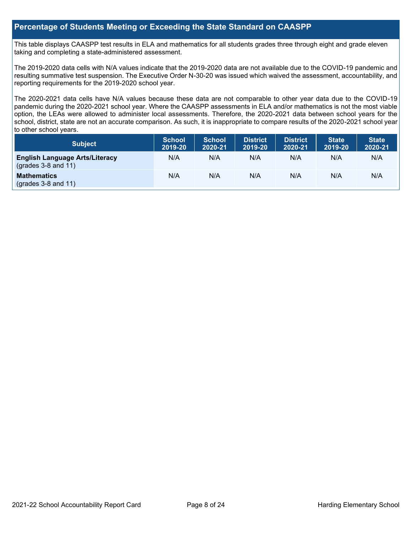### **Percentage of Students Meeting or Exceeding the State Standard on CAASPP**

This table displays CAASPP test results in ELA and mathematics for all students grades three through eight and grade eleven taking and completing a state-administered assessment.

The 2019-2020 data cells with N/A values indicate that the 2019-2020 data are not available due to the COVID-19 pandemic and resulting summative test suspension. The Executive Order N-30-20 was issued which waived the assessment, accountability, and reporting requirements for the 2019-2020 school year.

The 2020-2021 data cells have N/A values because these data are not comparable to other year data due to the COVID-19 pandemic during the 2020-2021 school year. Where the CAASPP assessments in ELA and/or mathematics is not the most viable option, the LEAs were allowed to administer local assessments. Therefore, the 2020-2021 data between school years for the school, district, state are not an accurate comparison. As such, it is inappropriate to compare results of the 2020-2021 school year to other school years.

| Subject                                                              | <b>School</b><br>2019-20 | <b>School</b><br>2020-21 | <b>District</b><br>2019-20 | <b>District</b><br>2020-21 | <b>State</b><br>2019-20 | <b>State</b><br>2020-21 |
|----------------------------------------------------------------------|--------------------------|--------------------------|----------------------------|----------------------------|-------------------------|-------------------------|
| <b>English Language Arts/Literacy</b><br>$\left($ grades 3-8 and 11) | N/A                      | N/A                      | N/A                        | N/A                        | N/A                     | N/A                     |
| <b>Mathematics</b><br>$(grades 3-8 and 11)$                          | N/A                      | N/A                      | N/A                        | N/A                        | N/A                     | N/A                     |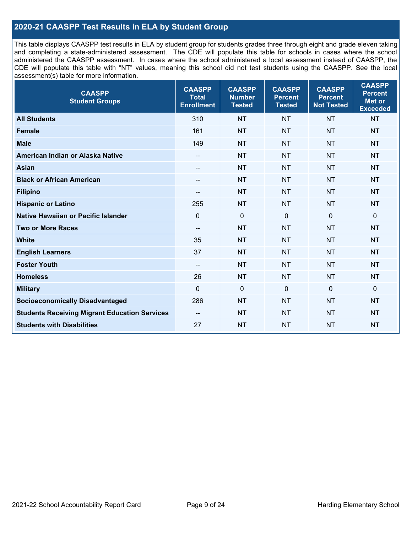## **2020-21 CAASPP Test Results in ELA by Student Group**

This table displays CAASPP test results in ELA by student group for students grades three through eight and grade eleven taking and completing a state-administered assessment. The CDE will populate this table for schools in cases where the school administered the CAASPP assessment. In cases where the school administered a local assessment instead of CAASPP, the CDE will populate this table with "NT" values, meaning this school did not test students using the CAASPP. See the local assessment(s) table for more information.

| <b>CAASPP</b><br><b>Student Groups</b>               | <b>CAASPP</b><br><b>Total</b><br><b>Enrollment</b> | <b>CAASPP</b><br><b>Number</b><br><b>Tested</b> | <b>CAASPP</b><br><b>Percent</b><br><b>Tested</b> | <b>CAASPP</b><br><b>Percent</b><br><b>Not Tested</b> | <b>CAASPP</b><br><b>Percent</b><br><b>Met or</b><br><b>Exceeded</b> |
|------------------------------------------------------|----------------------------------------------------|-------------------------------------------------|--------------------------------------------------|------------------------------------------------------|---------------------------------------------------------------------|
| <b>All Students</b>                                  | 310                                                | <b>NT</b>                                       | <b>NT</b>                                        | <b>NT</b>                                            | <b>NT</b>                                                           |
| <b>Female</b>                                        | 161                                                | <b>NT</b>                                       | <b>NT</b>                                        | <b>NT</b>                                            | <b>NT</b>                                                           |
| <b>Male</b>                                          | 149                                                | <b>NT</b>                                       | <b>NT</b>                                        | <b>NT</b>                                            | <b>NT</b>                                                           |
| American Indian or Alaska Native                     | --                                                 | <b>NT</b>                                       | <b>NT</b>                                        | <b>NT</b>                                            | <b>NT</b>                                                           |
| <b>Asian</b>                                         | --                                                 | <b>NT</b>                                       | <b>NT</b>                                        | <b>NT</b>                                            | <b>NT</b>                                                           |
| <b>Black or African American</b>                     | --                                                 | <b>NT</b>                                       | <b>NT</b>                                        | <b>NT</b>                                            | <b>NT</b>                                                           |
| <b>Filipino</b>                                      | --                                                 | <b>NT</b>                                       | <b>NT</b>                                        | <b>NT</b>                                            | <b>NT</b>                                                           |
| <b>Hispanic or Latino</b>                            | 255                                                | <b>NT</b>                                       | <b>NT</b>                                        | <b>NT</b>                                            | <b>NT</b>                                                           |
| Native Hawaiian or Pacific Islander                  | $\mathbf 0$                                        | $\mathbf 0$                                     | $\mathbf 0$                                      | $\mathbf 0$                                          | $\mathbf 0$                                                         |
| <b>Two or More Races</b>                             | --                                                 | <b>NT</b>                                       | <b>NT</b>                                        | <b>NT</b>                                            | <b>NT</b>                                                           |
| <b>White</b>                                         | 35                                                 | <b>NT</b>                                       | <b>NT</b>                                        | <b>NT</b>                                            | <b>NT</b>                                                           |
| <b>English Learners</b>                              | 37                                                 | <b>NT</b>                                       | <b>NT</b>                                        | <b>NT</b>                                            | <b>NT</b>                                                           |
| <b>Foster Youth</b>                                  | $\overline{\phantom{a}}$                           | <b>NT</b>                                       | <b>NT</b>                                        | <b>NT</b>                                            | <b>NT</b>                                                           |
| <b>Homeless</b>                                      | 26                                                 | <b>NT</b>                                       | <b>NT</b>                                        | <b>NT</b>                                            | <b>NT</b>                                                           |
| <b>Military</b>                                      | $\mathbf 0$                                        | $\pmb{0}$                                       | 0                                                | $\mathbf 0$                                          | 0                                                                   |
| <b>Socioeconomically Disadvantaged</b>               | 286                                                | <b>NT</b>                                       | <b>NT</b>                                        | <b>NT</b>                                            | <b>NT</b>                                                           |
| <b>Students Receiving Migrant Education Services</b> | $\overline{\phantom{a}}$                           | <b>NT</b>                                       | <b>NT</b>                                        | <b>NT</b>                                            | NT                                                                  |
| <b>Students with Disabilities</b>                    | 27                                                 | <b>NT</b>                                       | <b>NT</b>                                        | <b>NT</b>                                            | <b>NT</b>                                                           |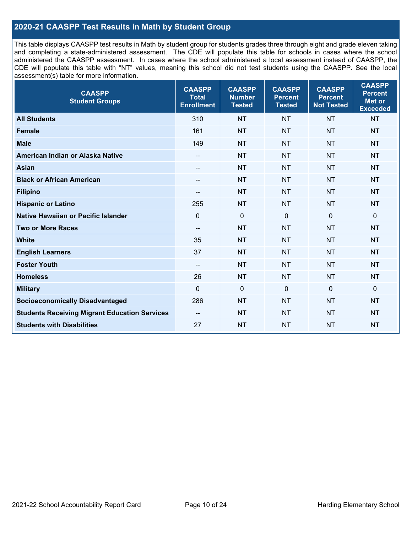## **2020-21 CAASPP Test Results in Math by Student Group**

This table displays CAASPP test results in Math by student group for students grades three through eight and grade eleven taking and completing a state-administered assessment. The CDE will populate this table for schools in cases where the school administered the CAASPP assessment. In cases where the school administered a local assessment instead of CAASPP, the CDE will populate this table with "NT" values, meaning this school did not test students using the CAASPP. See the local assessment(s) table for more information.

| <b>CAASPP</b><br><b>Student Groups</b>               | <b>CAASPP</b><br><b>Total</b><br><b>Enrollment</b> | <b>CAASPP</b><br><b>Number</b><br><b>Tested</b> | <b>CAASPP</b><br><b>Percent</b><br><b>Tested</b> | <b>CAASPP</b><br><b>Percent</b><br><b>Not Tested</b> | <b>CAASPP</b><br><b>Percent</b><br>Met or<br><b>Exceeded</b> |
|------------------------------------------------------|----------------------------------------------------|-------------------------------------------------|--------------------------------------------------|------------------------------------------------------|--------------------------------------------------------------|
| <b>All Students</b>                                  | 310                                                | <b>NT</b>                                       | <b>NT</b>                                        | <b>NT</b>                                            | <b>NT</b>                                                    |
| <b>Female</b>                                        | 161                                                | <b>NT</b>                                       | <b>NT</b>                                        | <b>NT</b>                                            | <b>NT</b>                                                    |
| <b>Male</b>                                          | 149                                                | <b>NT</b>                                       | <b>NT</b>                                        | <b>NT</b>                                            | <b>NT</b>                                                    |
| American Indian or Alaska Native                     | $\overline{\phantom{a}}$                           | <b>NT</b>                                       | <b>NT</b>                                        | <b>NT</b>                                            | <b>NT</b>                                                    |
| <b>Asian</b>                                         | --                                                 | <b>NT</b>                                       | <b>NT</b>                                        | <b>NT</b>                                            | <b>NT</b>                                                    |
| <b>Black or African American</b>                     | $\qquad \qquad -$                                  | <b>NT</b>                                       | <b>NT</b>                                        | <b>NT</b>                                            | <b>NT</b>                                                    |
| <b>Filipino</b>                                      | $-$                                                | <b>NT</b>                                       | <b>NT</b>                                        | <b>NT</b>                                            | <b>NT</b>                                                    |
| <b>Hispanic or Latino</b>                            | 255                                                | <b>NT</b>                                       | <b>NT</b>                                        | <b>NT</b>                                            | <b>NT</b>                                                    |
| Native Hawaiian or Pacific Islander                  | $\mathbf 0$                                        | $\mathbf 0$                                     | $\mathbf{0}$                                     | $\overline{0}$                                       | 0                                                            |
| <b>Two or More Races</b>                             | $\overline{\phantom{a}}$                           | <b>NT</b>                                       | <b>NT</b>                                        | <b>NT</b>                                            | <b>NT</b>                                                    |
| <b>White</b>                                         | 35                                                 | <b>NT</b>                                       | <b>NT</b>                                        | <b>NT</b>                                            | <b>NT</b>                                                    |
| <b>English Learners</b>                              | 37                                                 | <b>NT</b>                                       | <b>NT</b>                                        | <b>NT</b>                                            | <b>NT</b>                                                    |
| <b>Foster Youth</b>                                  | $\overline{\phantom{a}}$                           | <b>NT</b>                                       | <b>NT</b>                                        | <b>NT</b>                                            | <b>NT</b>                                                    |
| <b>Homeless</b>                                      | 26                                                 | <b>NT</b>                                       | <b>NT</b>                                        | <b>NT</b>                                            | <b>NT</b>                                                    |
| <b>Military</b>                                      | $\mathbf 0$                                        | $\mathbf 0$                                     | $\mathbf 0$                                      | $\mathbf 0$                                          | 0                                                            |
| <b>Socioeconomically Disadvantaged</b>               | 286                                                | <b>NT</b>                                       | <b>NT</b>                                        | <b>NT</b>                                            | <b>NT</b>                                                    |
| <b>Students Receiving Migrant Education Services</b> | $\overline{\phantom{a}}$                           | <b>NT</b>                                       | <b>NT</b>                                        | <b>NT</b>                                            | <b>NT</b>                                                    |
| <b>Students with Disabilities</b>                    | 27                                                 | <b>NT</b>                                       | <b>NT</b>                                        | <b>NT</b>                                            | <b>NT</b>                                                    |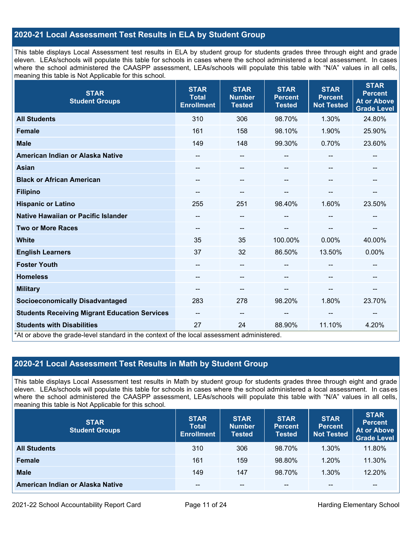## **2020-21 Local Assessment Test Results in ELA by Student Group**

This table displays Local Assessment test results in ELA by student group for students grades three through eight and grade eleven. LEAs/schools will populate this table for schools in cases where the school administered a local assessment. In cases where the school administered the CAASPP assessment, LEAs/schools will populate this table with "N/A" values in all cells, meaning this table is Not Applicable for this school.

| <b>STAR</b><br><b>Student Groups</b>                                                                                            | <b>STAR</b><br><b>Total</b><br><b>Enrollment</b> | <b>STAR</b><br><b>Number</b><br><b>Tested</b> | <b>STAR</b><br><b>Percent</b><br><b>Tested</b> | <b>STAR</b><br><b>Percent</b><br><b>Not Tested</b> | <b>STAR</b><br><b>Percent</b><br><b>At or Above</b><br><b>Grade Level</b> |
|---------------------------------------------------------------------------------------------------------------------------------|--------------------------------------------------|-----------------------------------------------|------------------------------------------------|----------------------------------------------------|---------------------------------------------------------------------------|
| <b>All Students</b>                                                                                                             | 310                                              | 306                                           | 98.70%                                         | 1.30%                                              | 24.80%                                                                    |
| <b>Female</b>                                                                                                                   | 161                                              | 158                                           | 98.10%                                         | 1.90%                                              | 25.90%                                                                    |
| <b>Male</b>                                                                                                                     | 149                                              | 148                                           | 99.30%                                         | 0.70%                                              | 23.60%                                                                    |
| American Indian or Alaska Native                                                                                                | $\qquad \qquad -$                                | --                                            | --                                             | --                                                 | $\overline{\phantom{a}}$                                                  |
| <b>Asian</b>                                                                                                                    | --                                               | --                                            | --                                             | --                                                 |                                                                           |
| <b>Black or African American</b>                                                                                                | --                                               | $-$                                           | --                                             | --                                                 | --                                                                        |
| <b>Filipino</b>                                                                                                                 | --                                               | --                                            |                                                |                                                    | --                                                                        |
| <b>Hispanic or Latino</b>                                                                                                       | 255                                              | 251                                           | 98.40%                                         | 1.60%                                              | 23.50%                                                                    |
| Native Hawaiian or Pacific Islander                                                                                             |                                                  | --                                            | --                                             |                                                    |                                                                           |
| <b>Two or More Races</b>                                                                                                        | --                                               | --                                            |                                                |                                                    | --                                                                        |
| <b>White</b>                                                                                                                    | 35                                               | 35                                            | 100.00%                                        | 0.00%                                              | 40.00%                                                                    |
| <b>English Learners</b>                                                                                                         | 37                                               | 32                                            | 86.50%                                         | 13.50%                                             | 0.00%                                                                     |
| <b>Foster Youth</b>                                                                                                             | --                                               | $\qquad \qquad -$                             |                                                |                                                    | --                                                                        |
| <b>Homeless</b>                                                                                                                 |                                                  | --                                            |                                                |                                                    |                                                                           |
| <b>Military</b>                                                                                                                 | $\qquad \qquad -$                                | --                                            | --                                             | --                                                 | $\overline{\phantom{a}}$                                                  |
| <b>Socioeconomically Disadvantaged</b>                                                                                          | 283                                              | 278                                           | 98.20%                                         | 1.80%                                              | 23.70%                                                                    |
| <b>Students Receiving Migrant Education Services</b>                                                                            | $\qquad \qquad -$                                | $-$                                           | --                                             | --                                                 | --                                                                        |
| <b>Students with Disabilities</b><br>*At or above the grade-level standard in the context of the local assessment administered. | 27                                               | 24                                            | 88.90%                                         | 11.10%                                             | 4.20%                                                                     |

## **2020-21 Local Assessment Test Results in Math by Student Group**

This table displays Local Assessment test results in Math by student group for students grades three through eight and grade eleven. LEAs/schools will populate this table for schools in cases where the school administered a local assessment. In cases where the school administered the CAASPP assessment, LEAs/schools will populate this table with "N/A" values in all cells, meaning this table is Not Applicable for this school.

| <b>STAR</b><br><b>Student Groups</b> | <b>STAR</b><br><b>Total</b><br><b>Enrollment</b> | <b>STAR</b><br><b>Number</b><br><b>Tested</b> | <b>STAR</b><br><b>Percent</b><br><b>Tested</b> | <b>STAR</b><br><b>Percent</b><br><b>Not Tested</b> | <b>STAR</b><br><b>Percent</b><br><b>At or Above</b><br><b>Grade Level</b> |
|--------------------------------------|--------------------------------------------------|-----------------------------------------------|------------------------------------------------|----------------------------------------------------|---------------------------------------------------------------------------|
| <b>All Students</b>                  | 310                                              | 306                                           | 98.70%                                         | 1.30%                                              | 11.80%                                                                    |
| <b>Female</b>                        | 161                                              | 159                                           | 98.80%                                         | 1.20%                                              | 11.30%                                                                    |
| <b>Male</b>                          | 149                                              | 147                                           | 98.70%                                         | 1.30%                                              | 12.20%                                                                    |
| American Indian or Alaska Native     | --                                               | $- -$                                         | $- -$                                          | $- -$                                              | $\overline{\phantom{m}}$                                                  |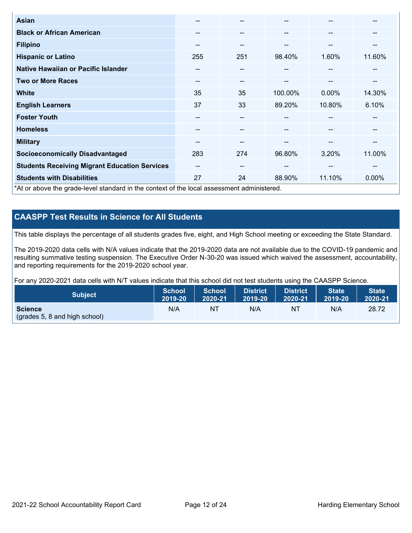| Asian                                                                                      | $- -$ | $- -$                    |         | --                       | --     |
|--------------------------------------------------------------------------------------------|-------|--------------------------|---------|--------------------------|--------|
| <b>Black or African American</b>                                                           | --    | $\qquad \qquad \cdots$   | --      | --                       | --     |
| <b>Filipino</b>                                                                            | --    | $- -$                    | --      | --                       | --     |
| <b>Hispanic or Latino</b>                                                                  | 255   | 251                      | 98.40%  | 1.60%                    | 11.60% |
| Native Hawaiian or Pacific Islander                                                        | --    | $- -$                    | --      | $\overline{\phantom{m}}$ | --     |
| <b>Two or More Races</b>                                                                   | --    | $- -$                    | --      | --                       | --     |
| <b>White</b>                                                                               | 35    | 35                       | 100.00% | 0.00%                    | 14.30% |
| <b>English Learners</b>                                                                    | 37    | 33                       | 89.20%  | 10.80%                   | 6.10%  |
| <b>Foster Youth</b>                                                                        | --    | --                       |         | --                       | --     |
| <b>Homeless</b>                                                                            | --    | $- -$                    | --      | --                       | --     |
| <b>Military</b>                                                                            | --    | $- -$                    | --      | --                       | --     |
| <b>Socioeconomically Disadvantaged</b>                                                     | 283   | 274                      | 96.80%  | 3.20%                    | 11.00% |
| <b>Students Receiving Migrant Education Services</b>                                       | $- -$ | $\overline{\phantom{m}}$ | --      | $-$                      | --     |
| <b>Students with Disabilities</b>                                                          | 27    | 24                       | 88.90%  | 11.10%                   | 0.00%  |
| *At or above the grade-level standard in the context of the local assessment administered. |       |                          |         |                          |        |

## **CAASPP Test Results in Science for All Students**

This table displays the percentage of all students grades five, eight, and High School meeting or exceeding the State Standard.

The 2019-2020 data cells with N/A values indicate that the 2019-2020 data are not available due to the COVID-19 pandemic and resulting summative testing suspension. The Executive Order N-30-20 was issued which waived the assessment, accountability, and reporting requirements for the 2019-2020 school year.

For any 2020-2021 data cells with N/T values indicate that this school did not test students using the CAASPP Science.

| <b>Subject</b>                | School<br>2019-20 | School<br>2020-21 | <b>District</b><br>2019-20 | <b>District</b><br>2020-21 | State <sup>1</sup><br>2019-20 | <b>State</b><br>2020-21 |
|-------------------------------|-------------------|-------------------|----------------------------|----------------------------|-------------------------------|-------------------------|
| <b>Science</b>                | N/A               | NΤ                | N/A                        | N1                         | N/A                           | 28.72                   |
| (grades 5, 8 and high school) |                   |                   |                            |                            |                               |                         |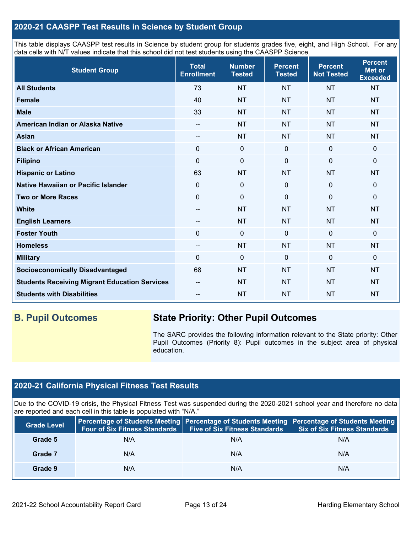## **2020-21 CAASPP Test Results in Science by Student Group**

This table displays CAASPP test results in Science by student group for students grades five, eight, and High School. For any data cells with N/T values indicate that this school did not test students using the CAASPP Science.

| <b>Student Group</b>                                 | <b>Total</b><br><b>Enrollment</b> | <b>Number</b><br><b>Tested</b> | <b>Percent</b><br><b>Tested</b> | <b>Percent</b><br><b>Not Tested</b> | <b>Percent</b><br><b>Met or</b><br><b>Exceeded</b> |
|------------------------------------------------------|-----------------------------------|--------------------------------|---------------------------------|-------------------------------------|----------------------------------------------------|
| <b>All Students</b>                                  | 73                                | <b>NT</b>                      | <b>NT</b>                       | <b>NT</b>                           | <b>NT</b>                                          |
| <b>Female</b>                                        | 40                                | <b>NT</b>                      | <b>NT</b>                       | <b>NT</b>                           | <b>NT</b>                                          |
| <b>Male</b>                                          | 33                                | <b>NT</b>                      | <b>NT</b>                       | <b>NT</b>                           | <b>NT</b>                                          |
| American Indian or Alaska Native                     | $\qquad \qquad -$                 | <b>NT</b>                      | <b>NT</b>                       | <b>NT</b>                           | <b>NT</b>                                          |
| <b>Asian</b>                                         | --                                | <b>NT</b>                      | <b>NT</b>                       | <b>NT</b>                           | <b>NT</b>                                          |
| <b>Black or African American</b>                     | 0                                 | $\pmb{0}$                      | $\pmb{0}$                       | $\mathbf 0$                         | 0                                                  |
| <b>Filipino</b>                                      | $\Omega$                          | $\pmb{0}$                      | $\mathbf 0$                     | $\Omega$                            | 0                                                  |
| <b>Hispanic or Latino</b>                            | 63                                | <b>NT</b>                      | <b>NT</b>                       | <b>NT</b>                           | <b>NT</b>                                          |
| Native Hawaiian or Pacific Islander                  | $\mathbf 0$                       | $\mathbf 0$                    | $\mathbf 0$                     | $\overline{0}$                      | 0                                                  |
| <b>Two or More Races</b>                             | $\mathbf 0$                       | $\mathbf 0$                    | $\mathbf 0$                     | $\mathbf 0$                         | 0                                                  |
| <b>White</b>                                         | $\qquad \qquad -$                 | <b>NT</b>                      | <b>NT</b>                       | <b>NT</b>                           | <b>NT</b>                                          |
| <b>English Learners</b>                              | --                                | <b>NT</b>                      | <b>NT</b>                       | <b>NT</b>                           | <b>NT</b>                                          |
| <b>Foster Youth</b>                                  | $\mathbf 0$                       | $\mathbf 0$                    | $\mathbf 0$                     | $\overline{0}$                      | 0                                                  |
| <b>Homeless</b>                                      | $\overline{\phantom{a}}$          | <b>NT</b>                      | <b>NT</b>                       | <b>NT</b>                           | <b>NT</b>                                          |
| <b>Military</b>                                      | $\Omega$                          | $\mathbf 0$                    | $\mathbf 0$                     | $\Omega$                            | $\Omega$                                           |
| <b>Socioeconomically Disadvantaged</b>               | 68                                | <b>NT</b>                      | <b>NT</b>                       | <b>NT</b>                           | <b>NT</b>                                          |
| <b>Students Receiving Migrant Education Services</b> | $\qquad \qquad -$                 | <b>NT</b>                      | <b>NT</b>                       | <b>NT</b>                           | <b>NT</b>                                          |
| <b>Students with Disabilities</b>                    | --                                | <b>NT</b>                      | <b>NT</b>                       | <b>NT</b>                           | <b>NT</b>                                          |

## **B. Pupil Outcomes State Priority: Other Pupil Outcomes**

The SARC provides the following information relevant to the State priority: Other Pupil Outcomes (Priority 8): Pupil outcomes in the subject area of physical education.

## **2020-21 California Physical Fitness Test Results**

Due to the COVID-19 crisis, the Physical Fitness Test was suspended during the 2020-2021 school year and therefore no data are reported and each cell in this table is populated with "N/A."

| <b>Grade Level</b> | Four of Six Fitness Standards | <b>Five of Six Fitness Standards</b> | Percentage of Students Meeting   Percentage of Students Meeting   Percentage of Students Meeting<br><b>Six of Six Fitness Standards</b> |
|--------------------|-------------------------------|--------------------------------------|-----------------------------------------------------------------------------------------------------------------------------------------|
| Grade 5            | N/A                           | N/A                                  | N/A                                                                                                                                     |
| Grade 7            | N/A                           | N/A                                  | N/A                                                                                                                                     |
| Grade 9            | N/A                           | N/A                                  | N/A                                                                                                                                     |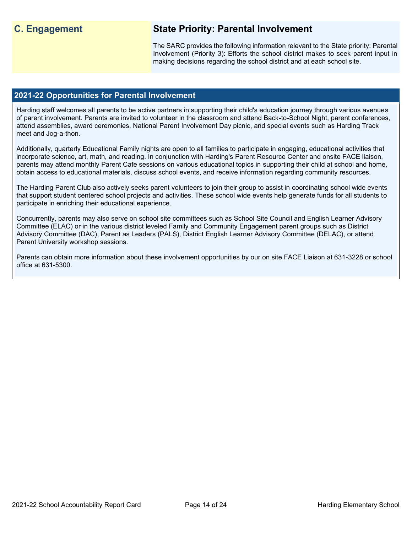## **C. Engagement State Priority: Parental Involvement**

The SARC provides the following information relevant to the State priority: Parental Involvement (Priority 3): Efforts the school district makes to seek parent input in making decisions regarding the school district and at each school site.

#### **2021-22 Opportunities for Parental Involvement**

Harding staff welcomes all parents to be active partners in supporting their child's education journey through various avenues of parent involvement. Parents are invited to volunteer in the classroom and attend Back-to-School Night, parent conferences, attend assemblies, award ceremonies, National Parent Involvement Day picnic, and special events such as Harding Track meet and Jog-a-thon.

Additionally, quarterly Educational Family nights are open to all families to participate in engaging, educational activities that incorporate science, art, math, and reading. In conjunction with Harding's Parent Resource Center and onsite FACE liaison, parents may attend monthly Parent Cafe sessions on various educational topics in supporting their child at school and home, obtain access to educational materials, discuss school events, and receive information regarding community resources.

The Harding Parent Club also actively seeks parent volunteers to join their group to assist in coordinating school wide events that support student centered school projects and activities. These school wide events help generate funds for all students to participate in enriching their educational experience.

Concurrently, parents may also serve on school site committees such as School Site Council and English Learner Advisory Committee (ELAC) or in the various district leveled Family and Community Engagement parent groups such as District Advisory Committee (DAC), Parent as Leaders (PALS), District English Learner Advisory Committee (DELAC), or attend Parent University workshop sessions.

Parents can obtain more information about these involvement opportunities by our on site FACE Liaison at 631-3228 or school office at 631-5300.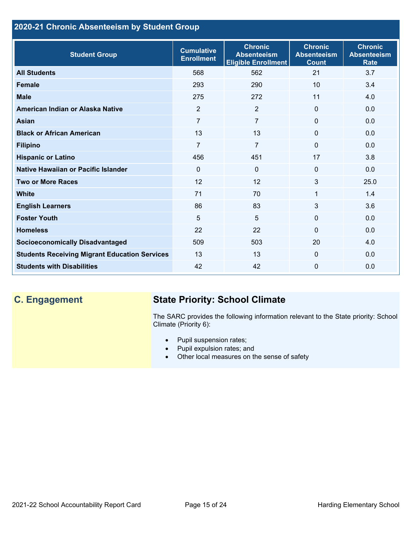## **2020-21 Chronic Absenteeism by Student Group**

| <b>Student Group</b>                                 | <b>Cumulative</b><br><b>Enrollment</b> | <b>Chronic</b><br><b>Absenteeism</b><br><b>Eligible Enrollment</b> | <b>Chronic</b><br><b>Absenteeism</b><br><b>Count</b> | <b>Chronic</b><br><b>Absenteeism</b><br><b>Rate</b> |
|------------------------------------------------------|----------------------------------------|--------------------------------------------------------------------|------------------------------------------------------|-----------------------------------------------------|
| <b>All Students</b>                                  | 568                                    | 562                                                                | 21                                                   | 3.7                                                 |
| <b>Female</b>                                        | 293                                    | 290                                                                | 10 <sup>1</sup>                                      | 3.4                                                 |
| <b>Male</b>                                          | 275                                    | 272                                                                | 11                                                   | 4.0                                                 |
| American Indian or Alaska Native                     | 2                                      | 2                                                                  | $\mathbf{0}$                                         | 0.0                                                 |
| <b>Asian</b>                                         | 7                                      | $\overline{7}$                                                     | $\mathbf 0$                                          | 0.0                                                 |
| <b>Black or African American</b>                     | 13                                     | 13                                                                 | $\mathbf{0}$                                         | 0.0                                                 |
| <b>Filipino</b>                                      | $\overline{7}$                         | $\overline{7}$                                                     | $\mathbf{0}$                                         | 0.0                                                 |
| <b>Hispanic or Latino</b>                            | 456                                    | 451                                                                | 17                                                   | 3.8                                                 |
| Native Hawaiian or Pacific Islander                  | $\Omega$                               | $\mathbf 0$                                                        | $\mathbf 0$                                          | 0.0                                                 |
| <b>Two or More Races</b>                             | 12                                     | 12                                                                 | 3                                                    | 25.0                                                |
| <b>White</b>                                         | 71                                     | 70                                                                 | 1                                                    | 1.4                                                 |
| <b>English Learners</b>                              | 86                                     | 83                                                                 | 3                                                    | 3.6                                                 |
| <b>Foster Youth</b>                                  | 5                                      | 5                                                                  | $\Omega$                                             | 0.0                                                 |
| <b>Homeless</b>                                      | 22                                     | 22                                                                 | $\Omega$                                             | 0.0                                                 |
| <b>Socioeconomically Disadvantaged</b>               | 509                                    | 503                                                                | 20                                                   | 4.0                                                 |
| <b>Students Receiving Migrant Education Services</b> | 13                                     | 13                                                                 | $\mathbf{0}$                                         | 0.0                                                 |
| <b>Students with Disabilities</b>                    | 42                                     | 42                                                                 | $\Omega$                                             | 0.0                                                 |

## **C. Engagement State Priority: School Climate**

The SARC provides the following information relevant to the State priority: School Climate (Priority 6):

- Pupil suspension rates;
- Pupil expulsion rates; and
- Other local measures on the sense of safety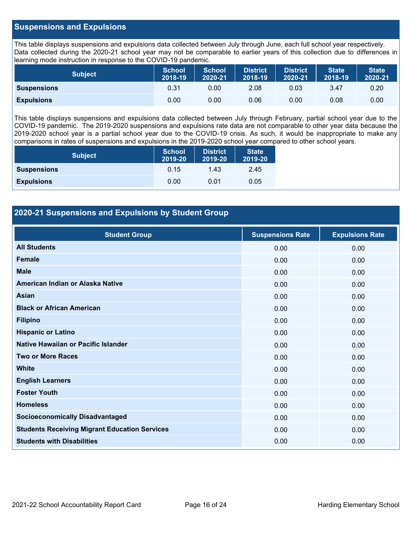### **Suspensions and Expulsions**

This table displays suspensions and expulsions data collected between July through June, each full school year respectively. Data collected during the 2020-21 school year may not be comparable to earlier years of this collection due to differences in learning mode instruction in response to the COVID-19 pandemic.

| <b>Subject</b>     | <b>School</b><br>2018-19 | <b>School</b><br>2020-21 | <b>District</b><br>2018-19 | <b>District</b><br>2020-21 | <b>State</b><br>2018-19 | <b>State</b><br>2020-21 |
|--------------------|--------------------------|--------------------------|----------------------------|----------------------------|-------------------------|-------------------------|
| <b>Suspensions</b> | 0.31                     | 0.00                     | 2.08                       | 0.03                       | 3.47                    | 0.20                    |
| <b>Expulsions</b>  | 0.00                     | 0.00                     | 0.06                       | 0.00                       | 0.08                    | 0.00                    |

This table displays suspensions and expulsions data collected between July through February, partial school year due to the COVID-19 pandemic. The 2019-2020 suspensions and expulsions rate data are not comparable to other year data because the 2019-2020 school year is a partial school year due to the COVID-19 crisis. As such, it would be inappropriate to make any comparisons in rates of suspensions and expulsions in the 2019-2020 school year compared to other school years.

| <b>Subject</b>     | School<br>2019-20 | <b>District</b><br>2019-20 | <b>State</b><br>2019-20 |
|--------------------|-------------------|----------------------------|-------------------------|
| <b>Suspensions</b> | 0.15              | 1.43                       | 2.45                    |
| <b>Expulsions</b>  | 0.00              | 0.01                       | 0.05                    |

## **2020-21 Suspensions and Expulsions by Student Group**

| <b>Student Group</b>                                 | <b>Suspensions Rate</b> | <b>Expulsions Rate</b> |
|------------------------------------------------------|-------------------------|------------------------|
| <b>All Students</b>                                  | 0.00                    | 0.00                   |
| <b>Female</b>                                        | 0.00                    | 0.00                   |
| <b>Male</b>                                          | 0.00                    | 0.00                   |
| American Indian or Alaska Native                     | 0.00                    | 0.00                   |
| Asian                                                | 0.00                    | 0.00                   |
| <b>Black or African American</b>                     | 0.00                    | 0.00                   |
| <b>Filipino</b>                                      | 0.00                    | 0.00                   |
| <b>Hispanic or Latino</b>                            | 0.00                    | 0.00                   |
| Native Hawaiian or Pacific Islander                  | 0.00                    | 0.00                   |
| <b>Two or More Races</b>                             | 0.00                    | 0.00                   |
| <b>White</b>                                         | 0.00                    | 0.00                   |
| <b>English Learners</b>                              | 0.00                    | 0.00                   |
| <b>Foster Youth</b>                                  | 0.00                    | 0.00                   |
| <b>Homeless</b>                                      | 0.00                    | 0.00                   |
| <b>Socioeconomically Disadvantaged</b>               | 0.00                    | 0.00                   |
| <b>Students Receiving Migrant Education Services</b> | 0.00                    | 0.00                   |
| <b>Students with Disabilities</b>                    | 0.00                    | 0.00                   |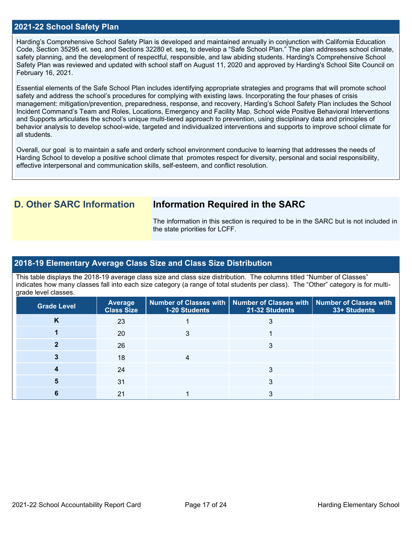#### **2021-22 School Safety Plan**

Harding's Comprehensive School Safety Plan is developed and maintained annually in conjunction with California Education Code, Section 35295 et. seq. and Sections 32280 et. seq, to develop a "Safe School Plan." The plan addresses school climate, safety planning, and the development of respectful, responsible, and law abiding students. Harding's Comprehensive School Safety Plan was reviewed and updated with school staff on August 11, 2020 and approved by Harding's School Site Council on February 16, 2021.

Essential elements of the Safe School Plan includes identifying appropriate strategies and programs that will promote school safety and address the school's procedures for complying with existing laws. Incorporating the four phases of crisis management: mitigation/prevention, preparedness, response, and recovery, Harding's School Safety Plan includes the School Incident Command's Team and Roles, Locations, Emergency and Facility Map. School wide Positive Behavioral Interventions and Supports articulates the school's unique multi-tiered approach to prevention, using disciplinary data and principles of behavior analysis to develop school-wide, targeted and individualized interventions and supports to improve school climate for all students.

Overall, our goal is to maintain a safe and orderly school environment conducive to learning that addresses the needs of Harding School to develop a positive school climate that promotes respect for diversity, personal and social responsibility, effective interpersonal and communication skills, self-esteem, and conflict resolution.

## **D. Other SARC Information Information Required in the SARC**

The information in this section is required to be in the SARC but is not included in the state priorities for LCFF.

## **2018-19 Elementary Average Class Size and Class Size Distribution**

This table displays the 2018-19 average class size and class size distribution. The columns titled "Number of Classes" indicates how many classes fall into each size category (a range of total students per class). The "Other" category is for multigrade level classes.

| <b>Grade Level</b> | <b>Average</b><br><b>Class Size</b> | 1-20 Students | Number of Classes with   Number of Classes with   Number of Classes with<br>21-32 Students | 33+ Students |
|--------------------|-------------------------------------|---------------|--------------------------------------------------------------------------------------------|--------------|
| κ                  | 23                                  |               |                                                                                            |              |
|                    | 20                                  |               |                                                                                            |              |
|                    | 26                                  |               |                                                                                            |              |
|                    | 18                                  |               |                                                                                            |              |
|                    | 24                                  |               |                                                                                            |              |
|                    | 31                                  |               |                                                                                            |              |
|                    | 21                                  |               |                                                                                            |              |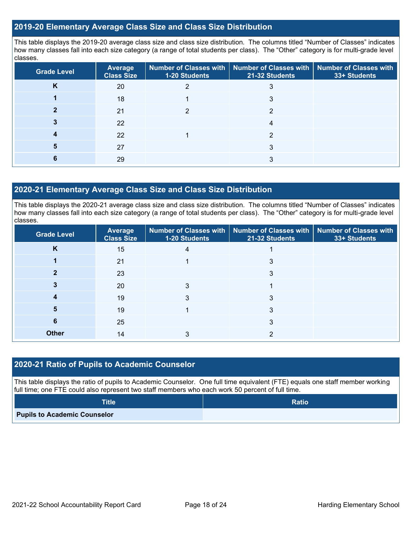#### **2019-20 Elementary Average Class Size and Class Size Distribution**

This table displays the 2019-20 average class size and class size distribution. The columns titled "Number of Classes" indicates how many classes fall into each size category (a range of total students per class). The "Other" category is for multi-grade level classes.

| <b>Grade Level</b> | <b>Average</b><br><b>Class Size</b> | <b>1-20 Students</b> | Number of Classes with   Number of Classes with   Number of Classes with<br>21-32 Students | 33+ Students |
|--------------------|-------------------------------------|----------------------|--------------------------------------------------------------------------------------------|--------------|
| n.                 | 20                                  |                      |                                                                                            |              |
|                    | 18                                  |                      | 3                                                                                          |              |
|                    | 21                                  |                      |                                                                                            |              |
|                    | 22                                  |                      | 4                                                                                          |              |
|                    | 22                                  |                      | ◠                                                                                          |              |
|                    | 27                                  |                      |                                                                                            |              |
|                    | 29                                  |                      | 3                                                                                          |              |

### **2020-21 Elementary Average Class Size and Class Size Distribution**

This table displays the 2020-21 average class size and class size distribution. The columns titled "Number of Classes" indicates how many classes fall into each size category (a range of total students per class). The "Other" category is for multi-grade level classes.

| <b>Grade Level</b> | <b>Average</b><br><b>Class Size</b> | 1-20 Students | Number of Classes with   Number of Classes with   Number of Classes with<br>21-32 Students | 33+ Students |
|--------------------|-------------------------------------|---------------|--------------------------------------------------------------------------------------------|--------------|
| K                  | 15                                  | 4             |                                                                                            |              |
|                    | 21                                  |               | 3                                                                                          |              |
| 2                  | 23                                  |               | 3                                                                                          |              |
|                    | 20                                  | 3             |                                                                                            |              |
|                    | 19                                  |               | 3                                                                                          |              |
| 5                  | 19                                  |               | 3                                                                                          |              |
| 6                  | 25                                  |               | 3                                                                                          |              |
| <b>Other</b>       | 14                                  | 3             | າ                                                                                          |              |

## **2020-21 Ratio of Pupils to Academic Counselor**

This table displays the ratio of pupils to Academic Counselor. One full time equivalent (FTE) equals one staff member working full time; one FTE could also represent two staff members who each work 50 percent of full time.

| <b>Title</b>                        | <b>Ratio</b> |
|-------------------------------------|--------------|
| <b>Pupils to Academic Counselor</b> |              |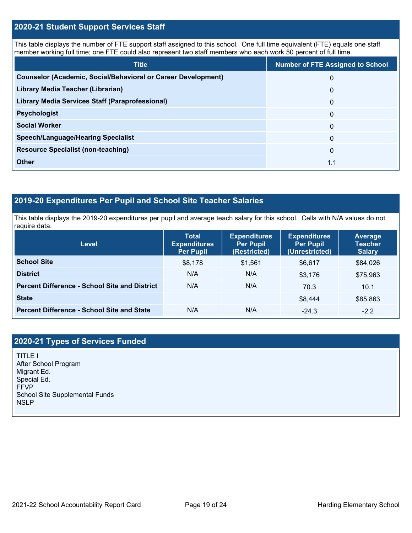### **2020-21 Student Support Services Staff**

This table displays the number of FTE support staff assigned to this school. One full time equivalent (FTE) equals one staff member working full time; one FTE could also represent two staff members who each work 50 percent of full time.

| <b>Title</b>                                                         | <b>Number of FTE Assigned to School</b> |
|----------------------------------------------------------------------|-----------------------------------------|
| <b>Counselor (Academic, Social/Behavioral or Career Development)</b> | 0                                       |
| Library Media Teacher (Librarian)                                    | $\mathbf{0}$                            |
| <b>Library Media Services Staff (Paraprofessional)</b>               | $\overline{0}$                          |
| <b>Psychologist</b>                                                  | $\mathbf{0}$                            |
| <b>Social Worker</b>                                                 | $\Omega$                                |
| <b>Speech/Language/Hearing Specialist</b>                            | $\Omega$                                |
| <b>Resource Specialist (non-teaching)</b>                            | $\mathbf{0}$                            |
| <b>Other</b>                                                         | 1.1                                     |

## **2019-20 Expenditures Per Pupil and School Site Teacher Salaries**

This table displays the 2019-20 expenditures per pupil and average teach salary for this school. Cells with N/A values do not require data.

| <b>Level</b>                                         | <b>Total</b><br><b>Expenditures</b><br><b>Per Pupil</b> | <b>Expenditures</b><br><b>Per Pupil</b><br>(Restricted) | <b>Expenditures</b><br><b>Per Pupil</b><br>(Unrestricted) | Average<br><b>Teacher</b><br><b>Salary</b> |
|------------------------------------------------------|---------------------------------------------------------|---------------------------------------------------------|-----------------------------------------------------------|--------------------------------------------|
| <b>School Site</b>                                   | \$8,178                                                 | \$1.561                                                 | \$6,617                                                   | \$84,026                                   |
| <b>District</b>                                      | N/A                                                     | N/A                                                     | \$3,176                                                   | \$75,963                                   |
| <b>Percent Difference - School Site and District</b> | N/A                                                     | N/A                                                     | 70.3                                                      | 10.1                                       |
| <b>State</b>                                         |                                                         |                                                         | \$8,444                                                   | \$85,863                                   |
| <b>Percent Difference - School Site and State</b>    | N/A                                                     | N/A                                                     | $-24.3$                                                   | $-2.2$                                     |

## **2020-21 Types of Services Funded**

TITLE I After School Program Migrant Ed. Special Ed. FFVP School Site Supplemental Funds **NSLP**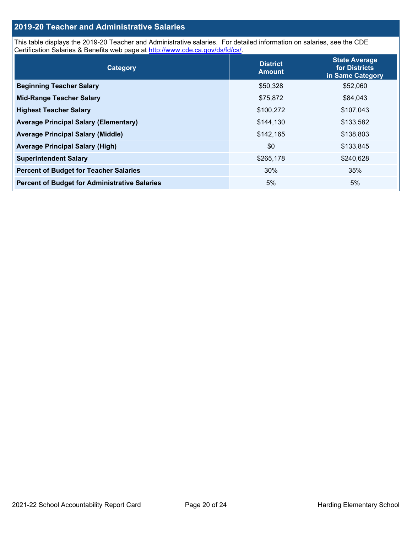## **2019-20 Teacher and Administrative Salaries**

This table displays the 2019-20 Teacher and Administrative salaries. For detailed information on salaries, see the CDE Certification Salaries & Benefits web page at [http://www.cde.ca.gov/ds/fd/cs/.](http://www.cde.ca.gov/ds/fd/cs/)

| Category                                             | <b>District</b><br><b>Amount</b> | <b>State Average</b><br>for Districts<br>in Same Category |
|------------------------------------------------------|----------------------------------|-----------------------------------------------------------|
| <b>Beginning Teacher Salary</b>                      | \$50,328                         | \$52,060                                                  |
| <b>Mid-Range Teacher Salary</b>                      | \$75,872                         | \$84,043                                                  |
| <b>Highest Teacher Salary</b>                        | \$100,272                        | \$107,043                                                 |
| <b>Average Principal Salary (Elementary)</b>         | \$144,130                        | \$133,582                                                 |
| <b>Average Principal Salary (Middle)</b>             | \$142,165                        | \$138,803                                                 |
| <b>Average Principal Salary (High)</b>               | \$0                              | \$133,845                                                 |
| <b>Superintendent Salary</b>                         | \$265,178                        | \$240,628                                                 |
| <b>Percent of Budget for Teacher Salaries</b>        | 30%                              | 35%                                                       |
| <b>Percent of Budget for Administrative Salaries</b> | 5%                               | 5%                                                        |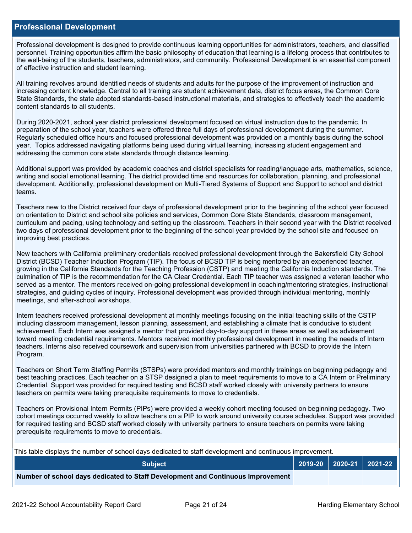#### **Professional Development**

Professional development is designed to provide continuous learning opportunities for administrators, teachers, and classified personnel. Training opportunities affirm the basic philosophy of education that learning is a lifelong process that contributes to the well-being of the students, teachers, administrators, and community. Professional Development is an essential component of effective instruction and student learning.

All training revolves around identified needs of students and adults for the purpose of the improvement of instruction and increasing content knowledge. Central to all training are student achievement data, district focus areas, the Common Core State Standards, the state adopted standards-based instructional materials, and strategies to effectively teach the academic content standards to all students.

During 2020-2021, school year district professional development focused on virtual instruction due to the pandemic. In preparation of the school year, teachers were offered three full days of professional development during the summer. Regularly scheduled office hours and focused professional development was provided on a monthly basis during the school year. Topics addressed navigating platforms being used during virtual learning, increasing student engagement and addressing the common core state standards through distance learning.

Additional support was provided by academic coaches and district specialists for reading/language arts, mathematics, science, writing and social emotional learning. The district provided time and resources for collaboration, planning, and professional development. Additionally, professional development on Multi-Tiered Systems of Support and Support to school and district teams.

Teachers new to the District received four days of professional development prior to the beginning of the school year focused on orientation to District and school site policies and services, Common Core State Standards, classroom management, curriculum and pacing, using technology and setting up the classroom. Teachers in their second year with the District received two days of professional development prior to the beginning of the school year provided by the school site and focused on improving best practices.

New teachers with California preliminary credentials received professional development through the Bakersfield City School District (BCSD) Teacher Induction Program (TIP). The focus of BCSD TIP is being mentored by an experienced teacher, growing in the California Standards for the Teaching Profession (CSTP) and meeting the California Induction standards. The culmination of TIP is the recommendation for the CA Clear Credential. Each TIP teacher was assigned a veteran teacher who served as a mentor. The mentors received on-going professional development in coaching/mentoring strategies, instructional strategies, and guiding cycles of inquiry. Professional development was provided through individual mentoring, monthly meetings, and after-school workshops.

Intern teachers received professional development at monthly meetings focusing on the initial teaching skills of the CSTP including classroom management, lesson planning, assessment, and establishing a climate that is conducive to student achievement. Each Intern was assigned a mentor that provided day-to-day support in these areas as well as advisement toward meeting credential requirements. Mentors received monthly professional development in meeting the needs of Intern teachers. Interns also received coursework and supervision from universities partnered with BCSD to provide the Intern Program.

Teachers on Short Term Staffing Permits (STSPs) were provided mentors and monthly trainings on beginning pedagogy and best teaching practices. Each teacher on a STSP designed a plan to meet requirements to move to a CA Intern or Preliminary Credential. Support was provided for required testing and BCSD staff worked closely with university partners to ensure teachers on permits were taking prerequisite requirements to move to credentials.

Teachers on Provisional Intern Permits (PIPs) were provided a weekly cohort meeting focused on beginning pedagogy. Two cohort meetings occurred weekly to allow teachers on a PIP to work around university course schedules. Support was provided for required testing and BCSD staff worked closely with university partners to ensure teachers on permits were taking prerequisite requirements to move to credentials.

This table displays the number of school days dedicated to staff development and continuous improvement.

| <b>Subiect</b>                                                                  |  | 2019-20   2020-21   2021-22 |
|---------------------------------------------------------------------------------|--|-----------------------------|
| Number of school days dedicated to Staff Development and Continuous Improvement |  |                             |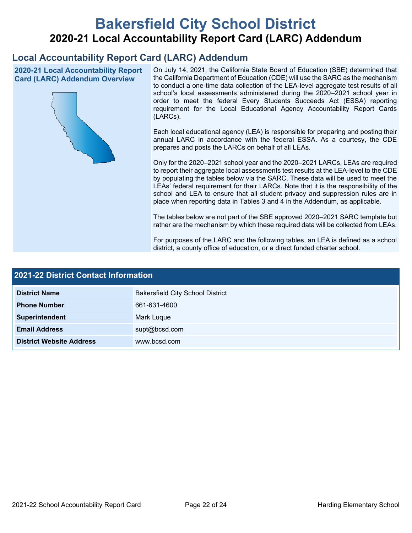# **Bakersfield City School District 2020-21 Local Accountability Report Card (LARC) Addendum**

## **Local Accountability Report Card (LARC) Addendum**

**2020-21 Local Accountability Report Card (LARC) Addendum Overview**



On July 14, 2021, the California State Board of Education (SBE) determined that the California Department of Education (CDE) will use the SARC as the mechanism to conduct a one-time data collection of the LEA-level aggregate test results of all school's local assessments administered during the 2020–2021 school year in order to meet the federal Every Students Succeeds Act (ESSA) reporting requirement for the Local Educational Agency Accountability Report Cards (LARCs).

Each local educational agency (LEA) is responsible for preparing and posting their annual LARC in accordance with the federal ESSA. As a courtesy, the CDE prepares and posts the LARCs on behalf of all LEAs.

Only for the 2020–2021 school year and the 2020–2021 LARCs, LEAs are required to report their aggregate local assessments test results at the LEA-level to the CDE by populating the tables below via the SARC. These data will be used to meet the LEAs' federal requirement for their LARCs. Note that it is the responsibility of the school and LEA to ensure that all student privacy and suppression rules are in place when reporting data in Tables 3 and 4 in the Addendum, as applicable.

The tables below are not part of the SBE approved 2020–2021 SARC template but rather are the mechanism by which these required data will be collected from LEAs.

For purposes of the LARC and the following tables, an LEA is defined as a school district, a county office of education, or a direct funded charter school.

| <b>2021-22 District Contact Information</b> |                                         |  |  |
|---------------------------------------------|-----------------------------------------|--|--|
| <b>District Name</b>                        | <b>Bakersfield City School District</b> |  |  |
| <b>Phone Number</b>                         | 661-631-4600                            |  |  |
| Superintendent                              | Mark Luque                              |  |  |
| <b>Email Address</b>                        | supt@bcsd.com                           |  |  |
| <b>District Website Address</b>             | www.bcsd.com                            |  |  |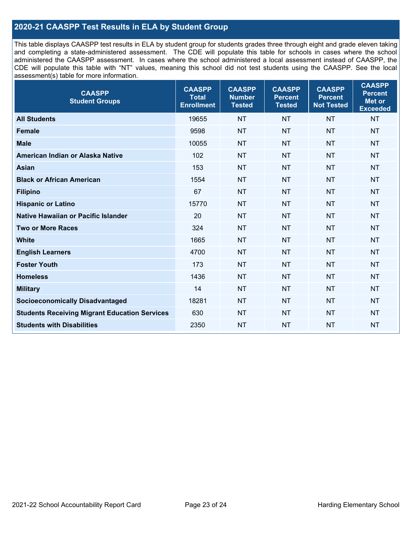## **2020-21 CAASPP Test Results in ELA by Student Group**

This table displays CAASPP test results in ELA by student group for students grades three through eight and grade eleven taking and completing a state-administered assessment. The CDE will populate this table for schools in cases where the school administered the CAASPP assessment. In cases where the school administered a local assessment instead of CAASPP, the CDE will populate this table with "NT" values, meaning this school did not test students using the CAASPP. See the local assessment(s) table for more information.

| <b>CAASPP</b><br><b>Student Groups</b>               | <b>CAASPP</b><br><b>Total</b><br><b>Enrollment</b> | <b>CAASPP</b><br><b>Number</b><br><b>Tested</b> | <b>CAASPP</b><br><b>Percent</b><br><b>Tested</b> | <b>CAASPP</b><br><b>Percent</b><br><b>Not Tested</b> | <b>CAASPP</b><br><b>Percent</b><br>Met or<br><b>Exceeded</b> |
|------------------------------------------------------|----------------------------------------------------|-------------------------------------------------|--------------------------------------------------|------------------------------------------------------|--------------------------------------------------------------|
| <b>All Students</b>                                  | 19655                                              | <b>NT</b>                                       | <b>NT</b>                                        | <b>NT</b>                                            | <b>NT</b>                                                    |
| <b>Female</b>                                        | 9598                                               | <b>NT</b>                                       | <b>NT</b>                                        | <b>NT</b>                                            | <b>NT</b>                                                    |
| <b>Male</b>                                          | 10055                                              | <b>NT</b>                                       | <b>NT</b>                                        | <b>NT</b>                                            | <b>NT</b>                                                    |
| American Indian or Alaska Native                     | 102                                                | <b>NT</b>                                       | <b>NT</b>                                        | <b>NT</b>                                            | <b>NT</b>                                                    |
| <b>Asian</b>                                         | 153                                                | <b>NT</b>                                       | <b>NT</b>                                        | <b>NT</b>                                            | <b>NT</b>                                                    |
| <b>Black or African American</b>                     | 1554                                               | <b>NT</b>                                       | <b>NT</b>                                        | <b>NT</b>                                            | <b>NT</b>                                                    |
| <b>Filipino</b>                                      | 67                                                 | <b>NT</b>                                       | <b>NT</b>                                        | <b>NT</b>                                            | <b>NT</b>                                                    |
| <b>Hispanic or Latino</b>                            | 15770                                              | <b>NT</b>                                       | <b>NT</b>                                        | <b>NT</b>                                            | <b>NT</b>                                                    |
| Native Hawaiian or Pacific Islander                  | 20                                                 | <b>NT</b>                                       | <b>NT</b>                                        | <b>NT</b>                                            | <b>NT</b>                                                    |
| <b>Two or More Races</b>                             | 324                                                | <b>NT</b>                                       | <b>NT</b>                                        | <b>NT</b>                                            | <b>NT</b>                                                    |
| <b>White</b>                                         | 1665                                               | <b>NT</b>                                       | <b>NT</b>                                        | <b>NT</b>                                            | <b>NT</b>                                                    |
| <b>English Learners</b>                              | 4700                                               | <b>NT</b>                                       | <b>NT</b>                                        | <b>NT</b>                                            | <b>NT</b>                                                    |
| <b>Foster Youth</b>                                  | 173                                                | <b>NT</b>                                       | <b>NT</b>                                        | <b>NT</b>                                            | <b>NT</b>                                                    |
| <b>Homeless</b>                                      | 1436                                               | <b>NT</b>                                       | <b>NT</b>                                        | <b>NT</b>                                            | <b>NT</b>                                                    |
| <b>Military</b>                                      | 14                                                 | <b>NT</b>                                       | <b>NT</b>                                        | <b>NT</b>                                            | <b>NT</b>                                                    |
| <b>Socioeconomically Disadvantaged</b>               | 18281                                              | <b>NT</b>                                       | <b>NT</b>                                        | <b>NT</b>                                            | <b>NT</b>                                                    |
| <b>Students Receiving Migrant Education Services</b> | 630                                                | <b>NT</b>                                       | <b>NT</b>                                        | <b>NT</b>                                            | NT                                                           |
| <b>Students with Disabilities</b>                    | 2350                                               | <b>NT</b>                                       | <b>NT</b>                                        | <b>NT</b>                                            | <b>NT</b>                                                    |